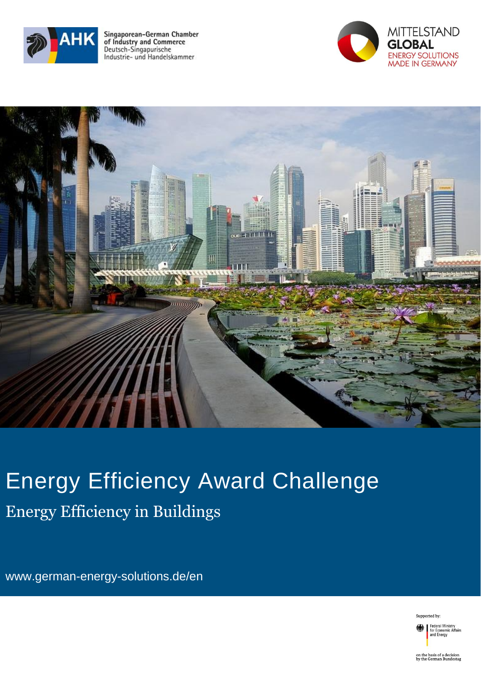

Singaporean-German Chamber<br>of Industry and Commerce Deutsch-Singapurische Industrie- und Handelskammer





# Energy Efficiency Award Challenge Energy Efficiency in Buildings

www.german-energy-solutions.de/en

Supported by:

Federal Ministry<br>for Economic Affairs<br>and Energy

on the basis of a decision<br>by the German Bundestag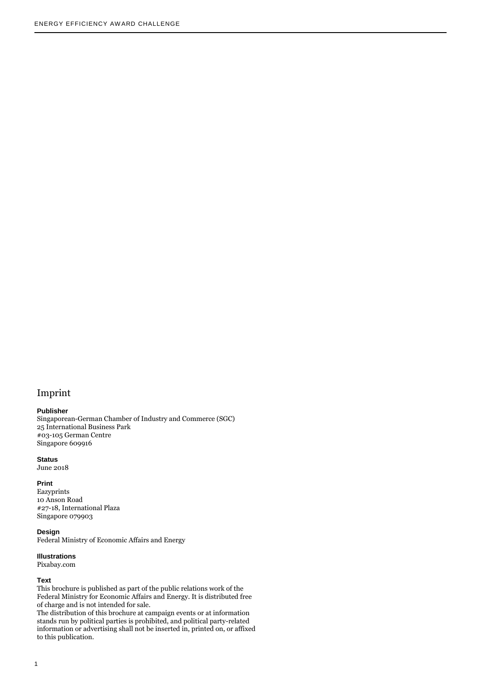#### Imprint

#### **Publisher**

Singaporean-German Chamber of Industry and Commerce (SGC) 25 International Business Park #03-105 German Centre Singapore 609916

#### **Status**

June 2018

#### **Print**

Eazyprints 10 Anson Road #27-18, International Plaza Singapore 079903

#### **Design**

Federal Ministry of Economic Affairs and Energy

#### **Illustrations**

Pixabay.com

#### **Text**

This brochure is published as part of the public relations work of the Federal Ministry for Economic Affairs and Energy. It is distributed free of charge and is not intended for sale.

The distribution of this brochure at campaign events or at information stands run by political parties is prohibited, and political party-related information or advertising shall not be inserted in, printed on, or affixed to this publication.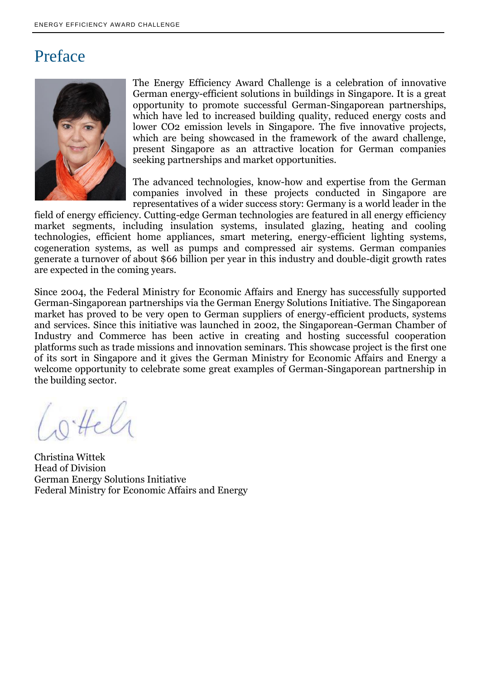### Preface



The Energy Efficiency Award Challenge is a celebration of innovative German energy-efficient solutions in buildings in Singapore. It is a great opportunity to promote successful German-Singaporean partnerships, which have led to increased building quality, reduced energy costs and lower CO2 emission levels in Singapore. The five innovative projects, which are being showcased in the framework of the award challenge, present Singapore as an attractive location for German companies seeking partnerships and market opportunities.

The advanced technologies, know-how and expertise from the German companies involved in these projects conducted in Singapore are representatives of a wider success story: Germany is a world leader in the

field of energy efficiency. Cutting-edge German technologies are featured in all energy efficiency market segments, including insulation systems, insulated glazing, heating and cooling technologies, efficient home appliances, smart metering, energy-efficient lighting systems, cogeneration systems, as well as pumps and compressed air systems. German companies generate a turnover of about \$66 billion per year in this industry and double-digit growth rates are expected in the coming years.

Since 2004, the Federal Ministry for Economic Affairs and Energy has successfully supported German-Singaporean partnerships via the German Energy Solutions Initiative. The Singaporean market has proved to be very open to German suppliers of energy-efficient products, systems and services. Since this initiative was launched in 2002, the Singaporean-German Chamber of Industry and Commerce has been active in creating and hosting successful cooperation platforms such as trade missions and innovation seminars. This showcase project is the first one of its sort in Singapore and it gives the German Ministry for Economic Affairs and Energy a welcome opportunity to celebrate some great examples of German-Singaporean partnership in the building sector.

Cottele

Christina Wittek Head of Division German Energy Solutions Initiative Federal Ministry for Economic Affairs and Energy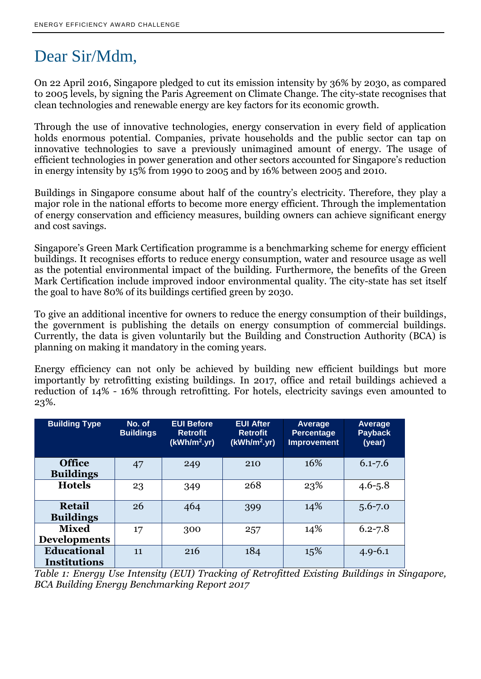## Dear Sir/Mdm,

On 22 April 2016, Singapore pledged to cut its emission intensity by 36% by 2030, as compared to 2005 levels, by signing the Paris Agreement on Climate Change. The city-state recognises that clean technologies and renewable energy are key factors for its economic growth.

Through the use of innovative technologies, energy conservation in every field of application holds enormous potential. Companies, private households and the public sector can tap on innovative technologies to save a previously unimagined amount of energy. The usage of efficient technologies in power generation and other sectors accounted for Singapore's reduction in energy intensity by 15% from 1990 to 2005 and by 16% between 2005 and 2010.

Buildings in Singapore consume about half of the country's electricity. Therefore, they play a major role in the national efforts to become more energy efficient. Through the implementation of energy conservation and efficiency measures, building owners can achieve significant energy and cost savings.

Singapore's Green Mark Certification programme is a benchmarking scheme for energy efficient buildings. It recognises efforts to reduce energy consumption, water and resource usage as well as the potential environmental impact of the building. Furthermore, the benefits of the Green Mark Certification include improved indoor environmental quality. The city-state has set itself the goal to have 80% of its buildings certified green by 2030.

To give an additional incentive for owners to reduce the energy consumption of their buildings, the government is publishing the details on energy consumption of commercial buildings. Currently, the data is given voluntarily but the Building and Construction Authority (BCA) is planning on making it mandatory in the coming years.

Energy efficiency can not only be achieved by building new efficient buildings but more importantly by retrofitting existing buildings. In 2017, office and retail buildings achieved a reduction of 14% - 16% through retrofitting. For hotels, electricity savings even amounted to 23%.

| <b>Building Type</b>                      | No. of<br><b>Buildings</b> | <b>EUI Before</b><br><b>Retrofit</b><br>$(kWh/m^2, yr)$ | <b>EUI After</b><br><b>Retrofit</b><br>(kWh/m <sup>2</sup> .yr) | Average<br><b>Percentage</b><br><b>Improvement</b> | Average<br><b>Payback</b><br>(year) |
|-------------------------------------------|----------------------------|---------------------------------------------------------|-----------------------------------------------------------------|----------------------------------------------------|-------------------------------------|
| <b>Office</b><br><b>Buildings</b>         | 47                         | 249                                                     | 210                                                             | 16%                                                | $6.1 - 7.6$                         |
| <b>Hotels</b>                             | 23                         | 349                                                     | 268                                                             | 23%                                                | $4.6 - 5.8$                         |
| <b>Retail</b><br><b>Buildings</b>         | 26                         | 464                                                     | 399                                                             | 14%                                                | $5.6 - 7.0$                         |
| <b>Mixed</b><br><b>Developments</b>       | 17                         | 300                                                     | 257                                                             | 14%                                                | $6.2 - 7.8$                         |
| <b>Educational</b><br><b>Institutions</b> | 11                         | 216                                                     | 184                                                             | 15%                                                | $4.9 - 6.1$                         |

*Table 1: Energy Use Intensity (EUI) Tracking of Retrofitted Existing Buildings in Singapore, BCA Building Energy Benchmarking Report 2017*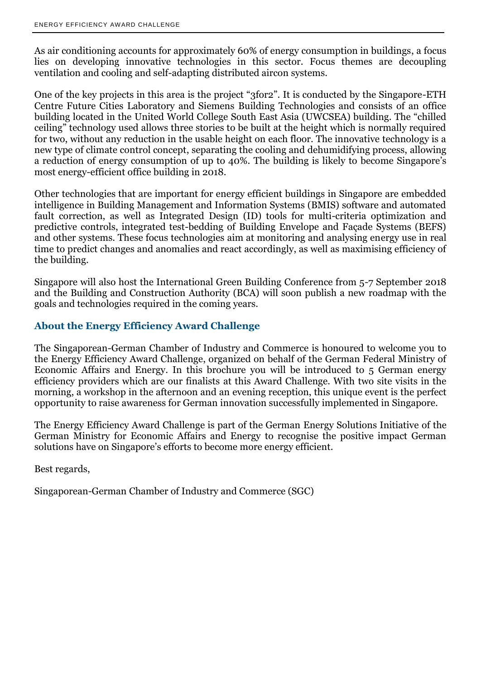As air conditioning accounts for approximately 60% of energy consumption in buildings, a focus lies on developing innovative technologies in this sector. Focus themes are decoupling ventilation and cooling and self-adapting distributed aircon systems.

One of the key projects in this area is the project "3for2". It is conducted by the Singapore-ETH Centre Future Cities Laboratory and Siemens Building Technologies and consists of an office building located in the United World College South East Asia (UWCSEA) building. The "chilled ceiling" technology used allows three stories to be built at the height which is normally required for two, without any reduction in the usable height on each floor. The innovative technology is a new type of climate control concept, separating the cooling and dehumidifying process, allowing a reduction of energy consumption of up to 40%. The building is likely to become Singapore's most energy-efficient office building in 2018.

Other technologies that are important for energy efficient buildings in Singapore are embedded intelligence in Building Management and Information Systems (BMIS) software and automated fault correction, as well as Integrated Design (ID) tools for multi-criteria optimization and predictive controls, integrated test-bedding of Building Envelope and Façade Systems (BEFS) and other systems. These focus technologies aim at monitoring and analysing energy use in real time to predict changes and anomalies and react accordingly, as well as maximising efficiency of the building.

Singapore will also host the International Green Building Conference from 5-7 September 2018 and the Building and Construction Authority (BCA) will soon publish a new roadmap with the goals and technologies required in the coming years.

#### **About the Energy Efficiency Award Challenge**

The Singaporean-German Chamber of Industry and Commerce is honoured to welcome you to the Energy Efficiency Award Challenge, organized on behalf of the German Federal Ministry of Economic Affairs and Energy. In this brochure you will be introduced to 5 German energy efficiency providers which are our finalists at this Award Challenge. With two site visits in the morning, a workshop in the afternoon and an evening reception, this unique event is the perfect opportunity to raise awareness for German innovation successfully implemented in Singapore.

The Energy Efficiency Award Challenge is part of the German Energy Solutions Initiative of the German Ministry for Economic Affairs and Energy to recognise the positive impact German solutions have on Singapore's efforts to become more energy efficient.

Best regards,

Singaporean-German Chamber of Industry and Commerce (SGC)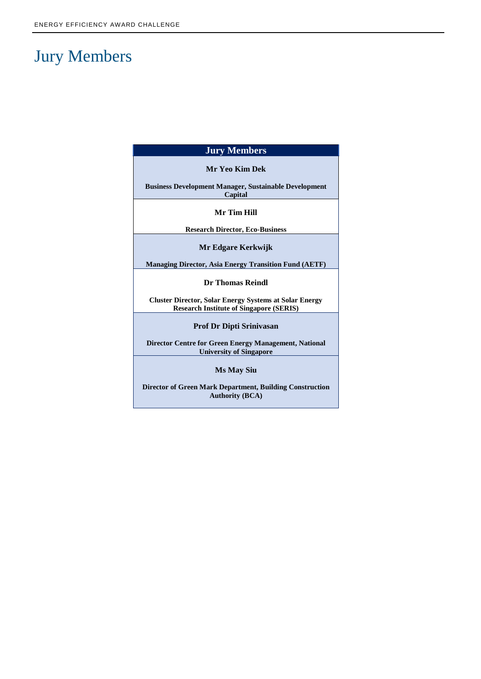## Jury Members

| <b>Jury Members</b>                                                                                             |  |  |  |  |  |
|-----------------------------------------------------------------------------------------------------------------|--|--|--|--|--|
| Mr Yeo Kim Dek                                                                                                  |  |  |  |  |  |
| <b>Business Development Manager, Sustainable Development</b><br>Capital                                         |  |  |  |  |  |
| Mr Tim Hill                                                                                                     |  |  |  |  |  |
| <b>Research Director, Eco-Business</b>                                                                          |  |  |  |  |  |
| Mr Edgare Kerkwijk                                                                                              |  |  |  |  |  |
| <b>Managing Director, Asia Energy Transition Fund (AETF)</b>                                                    |  |  |  |  |  |
| <b>Dr Thomas Reindl</b>                                                                                         |  |  |  |  |  |
| <b>Cluster Director, Solar Energy Systems at Solar Energy</b><br><b>Research Institute of Singapore (SERIS)</b> |  |  |  |  |  |
| <b>Prof Dr Dipti Srinivasan</b>                                                                                 |  |  |  |  |  |
| <b>Director Centre for Green Energy Management, National</b><br><b>University of Singapore</b>                  |  |  |  |  |  |
| <b>Ms May Siu</b>                                                                                               |  |  |  |  |  |
| <b>Director of Green Mark Department, Building Construction</b>                                                 |  |  |  |  |  |

**Authority (BCA)**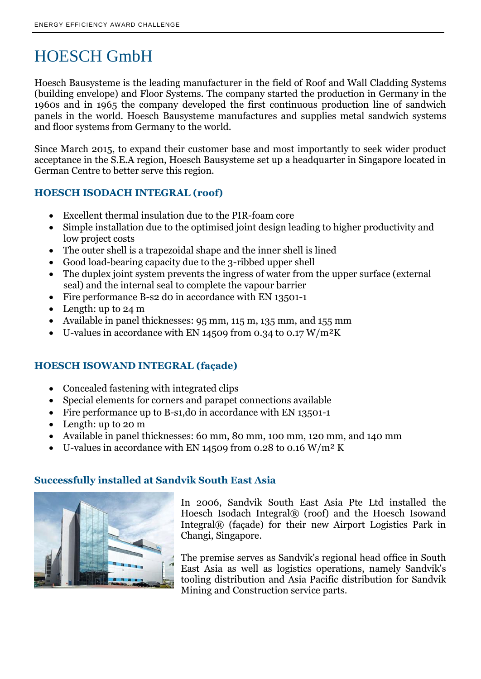## HOESCH GmbH

Hoesch Bausysteme is the leading manufacturer in the field of Roof and Wall Cladding Systems (building envelope) and Floor Systems. The company started the production in Germany in the 1960s and in 1965 the company developed the first continuous production line of sandwich panels in the world. Hoesch Bausysteme manufactures and supplies metal sandwich systems and floor systems from Germany to the world.

Since March 2015, to expand their customer base and most importantly to seek wider product acceptance in the S.E.A region, Hoesch Bausysteme set up a headquarter in Singapore located in German Centre to better serve this region.

### **HOESCH ISODACH INTEGRAL (roof)**

- Excellent thermal insulation due to the PIR-foam core
- Simple installation due to the optimised joint design leading to higher productivity and low project costs
- The outer shell is a trapezoidal shape and the inner shell is lined
- Good load-bearing capacity due to the 3-ribbed upper shell
- The duplex joint system prevents the ingress of water from the upper surface (external seal) and the internal seal to complete the vapour barrier
- Fire performance B-s2 do in accordance with EN 13501-1
- Length: up to 24 m
- Available in panel thicknesses: 95 mm, 115 m, 135 mm, and 155 mm
- U-values in accordance with EN 14509 from 0.34 to 0.17 W/m²K

### **HOESCH ISOWAND INTEGRAL (façade)**

- Concealed fastening with integrated clips
- Special elements for corners and parapet connections available
- Fire performance up to B-s1, do in accordance with EN 13501-1
- Length: up to 20 m
- Available in panel thicknesses: 60 mm, 80 mm, 100 mm, 120 mm, and 140 mm
- U-values in accordance with EN 14509 from 0.28 to 0.16 W/m<sup>2</sup> K

### **Successfully installed at Sandvik South East Asia**



In 2006, Sandvik South East Asia Pte Ltd installed the Hoesch Isodach Integral® (roof) and the Hoesch Isowand Integral® (façade) for their new Airport Logistics Park in Changi, Singapore.

The premise serves as Sandvik's regional head office in South East Asia as well as logistics operations, namely Sandvik's tooling distribution and Asia Pacific distribution for Sandvik Mining and Construction service parts.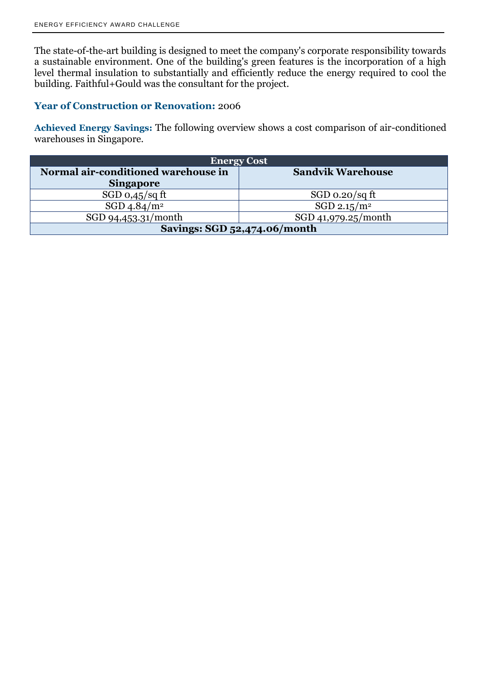The state-of-the-art building is designed to meet the company's corporate responsibility towards a sustainable environment. One of the building's green features is the incorporation of a high level thermal insulation to substantially and efficiently reduce the energy required to cool the building. Faithful+Gould was the consultant for the project.

### **Year of Construction or Renovation:** 2006

**Achieved Energy Savings:** The following overview shows a cost comparison of air-conditioned warehouses in Singapore.

| <b>Energy Cost</b>                  |                          |  |  |  |  |
|-------------------------------------|--------------------------|--|--|--|--|
| Normal air-conditioned warehouse in | <b>Sandvik Warehouse</b> |  |  |  |  |
| <b>Singapore</b>                    |                          |  |  |  |  |
| SGD $0,45$ /sq ft                   | $SGD_0.20/sqft$          |  |  |  |  |
| $SGD\ 4.84/m2$                      | SGD 2.15/ $\rm m^2$      |  |  |  |  |
| SGD 94,453.31/month                 | SGD 41,979.25/month      |  |  |  |  |
| Savings: SGD 52,474.06/month        |                          |  |  |  |  |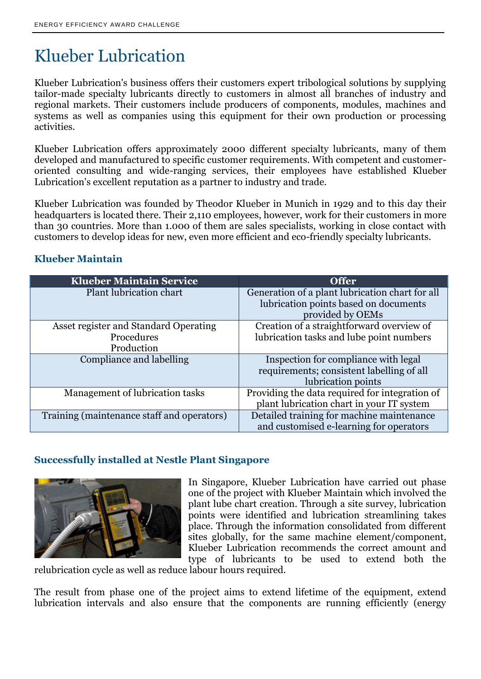## Klueber Lubrication

Klueber Lubrication's business offers their customers expert tribological solutions by supplying tailor-made specialty lubricants directly to customers in almost all branches of industry and regional markets. Their customers include producers of components, modules, machines and systems as well as companies using this equipment for their own production or processing activities.

Klueber Lubrication offers approximately 2000 different specialty lubricants, many of them developed and manufactured to specific customer requirements. With competent and customeroriented consulting and wide-ranging services, their employees have established Klueber Lubrication's excellent reputation as a partner to industry and trade.

Klueber Lubrication was founded by Theodor Klueber in Munich in 1929 and to this day their headquarters is located there. Their 2,110 employees, however, work for their customers in more than 30 countries. More than 1.000 of them are sales specialists, working in close contact with customers to develop ideas for new, even more efficient and eco-friendly specialty lubricants.

### **Klueber Maintain**

| <b>Klueber Maintain Service</b>            | <b>Offer</b>                                    |  |
|--------------------------------------------|-------------------------------------------------|--|
| Plant lubrication chart                    | Generation of a plant lubrication chart for all |  |
|                                            | lubrication points based on documents           |  |
|                                            | provided by OEMs                                |  |
| Asset register and Standard Operating      | Creation of a straightforward overview of       |  |
| Procedures                                 | lubrication tasks and lube point numbers        |  |
| Production                                 |                                                 |  |
| Compliance and labelling                   | Inspection for compliance with legal            |  |
|                                            | requirements; consistent labelling of all       |  |
|                                            | lubrication points                              |  |
| Management of lubrication tasks            | Providing the data required for integration of  |  |
|                                            | plant lubrication chart in your IT system       |  |
| Training (maintenance staff and operators) | Detailed training for machine maintenance       |  |
|                                            | and customised e-learning for operators         |  |

#### **Successfully installed at Nestle Plant Singapore**



In Singapore, Klueber Lubrication have carried out phase one of the project with Klueber Maintain which involved the plant lube chart creation. Through a site survey, lubrication points were identified and lubrication streamlining takes place. Through the information consolidated from different sites globally, for the same machine element/component, Klueber Lubrication recommends the correct amount and type of lubricants to be used to extend both the

relubrication cycle as well as reduce labour hours required.

The result from phase one of the project aims to extend lifetime of the equipment, extend lubrication intervals and also ensure that the components are running efficiently (energy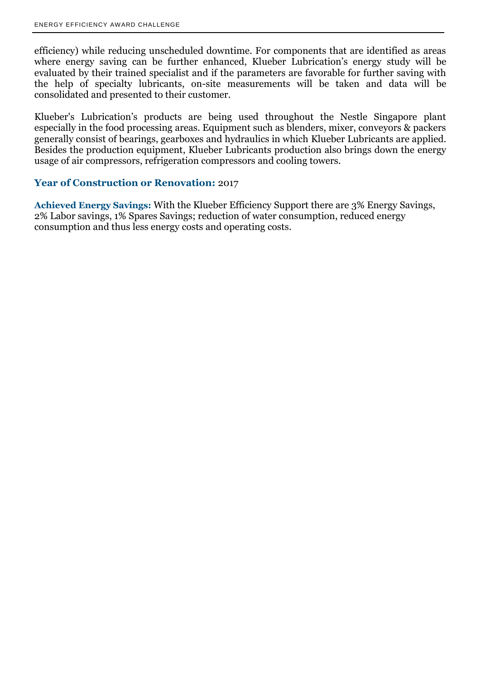efficiency) while reducing unscheduled downtime. For components that are identified as areas where energy saving can be further enhanced, Klueber Lubrication's energy study will be evaluated by their trained specialist and if the parameters are favorable for further saving with the help of specialty lubricants, on-site measurements will be taken and data will be consolidated and presented to their customer.

Klueber's Lubrication's products are being used throughout the Nestle Singapore plant especially in the food processing areas. Equipment such as blenders, mixer, conveyors & packers generally consist of bearings, gearboxes and hydraulics in which Klueber Lubricants are applied. Besides the production equipment, Klueber Lubricants production also brings down the energy usage of air compressors, refrigeration compressors and cooling towers.

#### **Year of Construction or Renovation:** 2017

**Achieved Energy Savings:** With the Klueber Efficiency Support there are 3% Energy Savings, 2% Labor savings, 1% Spares Savings; reduction of water consumption, reduced energy consumption and thus less energy costs and operating costs.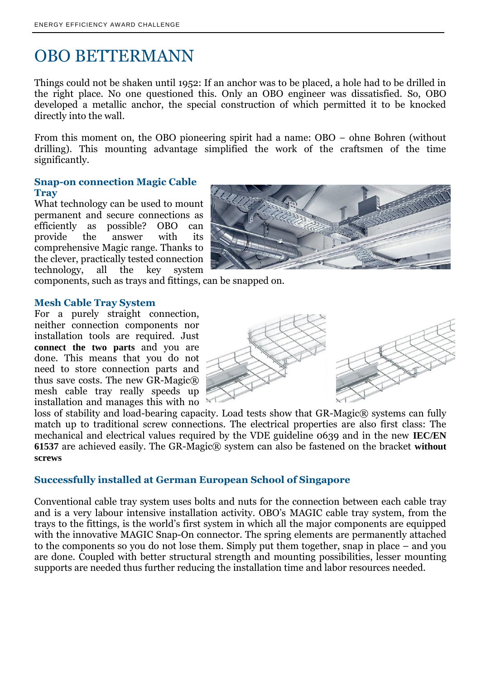## OBO BETTERMANN

Things could not be shaken until 1952: If an anchor was to be placed, a hole had to be drilled in the right place. No one questioned this. Only an OBO engineer was dissatisfied. So, OBO developed a metallic anchor, the special construction of which permitted it to be knocked directly into the wall.

From this moment on, the OBO pioneering spirit had a name: OBO − ohne Bohren (without drilling). This mounting advantage simplified the work of the craftsmen of the time significantly.

#### **Snap-on connection Magic Cable Tray**

What technology can be used to mount permanent and secure connections as efficiently as possible? OBO can provide the answer with its comprehensive Magic range. Thanks to the clever, practically tested connection technology, all the key system



components, such as trays and fittings, can be snapped on.

#### **Mesh Cable Tray System**

For a purely straight connection, neither connection components nor installation tools are required. Just **connect the two parts** and you are done. This means that you do not need to store connection parts and thus save costs. The new GR-Magic $\mathbb{R}$ mesh cable tray really speeds up installation and manages this with no



loss of stability and load-bearing capacity. Load tests show that GR-Magic® systems can fully match up to traditional screw connections. The electrical properties are also first class: The mechanical and electrical values required by the VDE guideline 0639 and in the new **IEC/EN 61537** are achieved easily. The GR-Magic® system can also be fastened on the bracket **without screws**

#### **Successfully installed at German European School of Singapore**

Conventional cable tray system uses bolts and nuts for the connection between each cable tray and is a very labour intensive installation activity. OBO's MAGIC cable tray system, from the trays to the fittings, is the world's first system in which all the major components are equipped with the innovative MAGIC Snap-On connector. The spring elements are permanently attached to the components so you do not lose them. Simply put them together, snap in place – and you are done. Coupled with better structural strength and mounting possibilities, lesser mounting supports are needed thus further reducing the installation time and labor resources needed.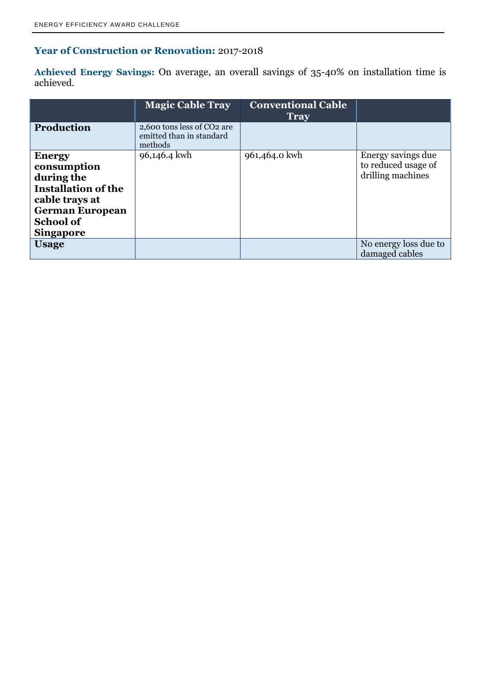### **Year of Construction or Renovation:** 2017-2018

**Achieved Energy Savings:** On average, an overall savings of 35-40% on installation time is achieved.

|                                                                                                                                                              | <b>Magic Cable Tray</b>                                           | <b>Conventional Cable</b><br><b>Tray</b> |                                                                |
|--------------------------------------------------------------------------------------------------------------------------------------------------------------|-------------------------------------------------------------------|------------------------------------------|----------------------------------------------------------------|
| <b>Production</b>                                                                                                                                            | 2,600 tons less of CO2 are<br>emitted than in standard<br>methods |                                          |                                                                |
| <b>Energy</b><br>consumption<br>during the<br><b>Installation of the</b><br>cable trays at<br><b>German European</b><br><b>School of</b><br><b>Singapore</b> | 96,146.4 kwh                                                      | 961,464.0 kwh                            | Energy savings due<br>to reduced usage of<br>drilling machines |
| <b>Usage</b>                                                                                                                                                 |                                                                   |                                          | No energy loss due to<br>damaged cables                        |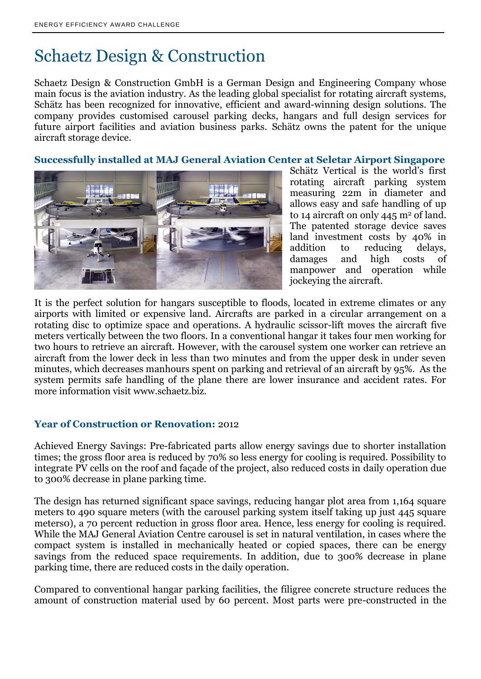## Schaetz Design & Construction

Schaetz Design & Construction GmbH is a German Design and Engineering Company whose main focus is the aviation industry. As the leading global specialist for rotating aircraft systems, Schätz has been recognized for innovative, efficient and award-winning design solutions. The company provides customised carousel parking decks, hangars and full design services for future airport facilities and aviation business parks. Schätz owns the patent for the unique aircraft storage device.

**Successfully installed at MAJ General Aviation Center at Seletar Airport Singapore**



Schätz Vertical is the world's first rotating aircraft parking system measuring 22m in diameter and allows easy and safe handling of up to 14 aircraft on only  $445 \text{ m}^2$  of land. The patented storage device saves land investment costs by 40% in addition to reducing delays, damages and high costs of manpower and operation while jockeying the aircraft.

It is the perfect solution for hangars susceptible to floods, located in extreme climates or any airports with limited or expensive land. Aircrafts are parked in a circular arrangement on a rotating disc to optimize space and operations. A hydraulic scissor-lift moves the aircraft five meters vertically between the two floors. In a conventional hangar it takes four men working for two hours to retrieve an aircraft. However, with the carousel system one worker can retrieve an aircraft from the lower deck in less than two minutes and from the upper desk in under seven minutes, which decreases manhours spent on parking and retrieval of an aircraft by 95%. As the system permits safe handling of the plane there are lower insurance and accident rates. For more information visit [www.schaetz.biz.](http://www.schaetz.biz/)

#### **Year of Construction or Renovation:** 2012

Achieved Energy Savings: Pre-fabricated parts allow energy savings due to shorter installation times; the gross floor area is reduced by 70% so less energy for cooling is required. Possibility to integrate PV cells on the roof and façade of the project, also reduced costs in daily operation due to 300% decrease in plane parking time.

The design has returned significant space savings, reducing hangar plot area from 1,164 square meters to 490 square meters (with the carousel parking system itself taking up just 445 square meters0), a 70 percent reduction in gross floor area. Hence, less energy for cooling is required. While the MAJ General Aviation Centre carousel is set in natural ventilation, in cases where the compact system is installed in mechanically heated or copied spaces, there can be energy savings from the reduced space requirements. In addition, due to 300% decrease in plane parking time, there are reduced costs in the daily operation.

Compared to conventional hangar parking facilities, the filigree concrete structure reduces the amount of construction material used by 60 percent. Most parts were pre-constructed in the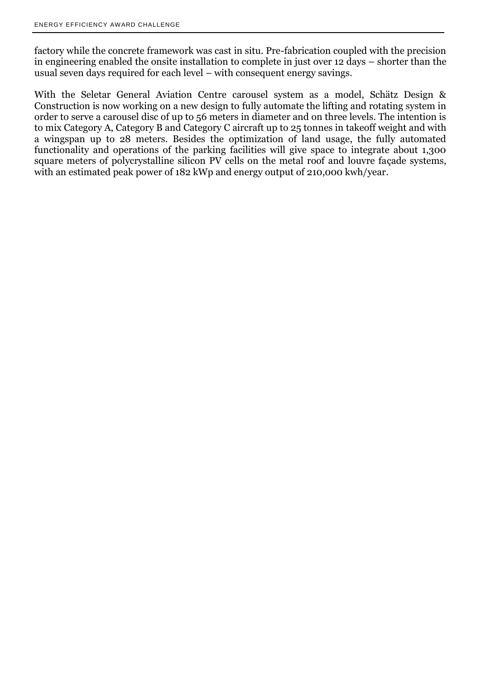factory while the concrete framework was cast in situ. Pre-fabrication coupled with the precision in engineering enabled the onsite installation to complete in just over 12 days – shorter than the usual seven days required for each level – with consequent energy savings.

With the Seletar General Aviation Centre carousel system as a model, Schätz Design & Construction is now working on a new design to fully automate the lifting and rotating system in order to serve a carousel disc of up to 56 meters in diameter and on three levels. The intention is to mix Category A, Category B and Category C aircraft up to 25 tonnes in takeoff weight and with a wingspan up to 28 meters. Besides the optimization of land usage, the fully automated functionality and operations of the parking facilities will give space to integrate about 1,300 square meters of polycrystalline silicon PV cells on the metal roof and louvre façade systems, with an estimated peak power of 182 kWp and energy output of 210,000 kwh/year.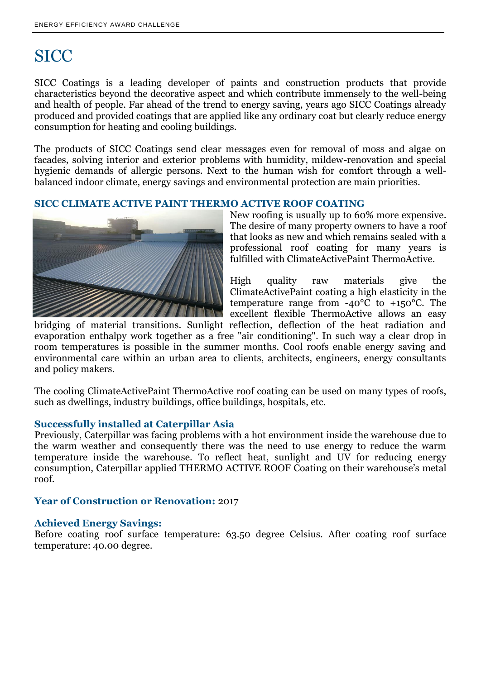## **SICC**

SICC Coatings is a leading developer of paints and construction products that provide characteristics beyond the decorative aspect and which contribute immensely to the well-being and health of people. Far ahead of the trend to energy saving, years ago SICC Coatings already produced and provided coatings that are applied like any ordinary coat but clearly reduce energy consumption for heating and cooling buildings.

The products of SICC Coatings send clear messages even for removal of moss and algae on facades, solving interior and exterior problems with humidity, mildew-renovation and special hygienic demands of allergic persons. Next to the human wish for comfort through a wellbalanced indoor climate, energy savings and environmental protection are main priorities.

#### **SICC CLIMATE ACTIVE PAINT THERMO ACTIVE ROOF COATING**



New roofing is usually up to 60% more expensive. The desire of many property owners to have a roof that looks as new and which remains sealed with a professional roof coating for many years is fulfilled with ClimateActivePaint ThermoActive.

High quality raw materials give the ClimateActivePaint coating a high elasticity in the temperature range from  $-40^{\circ}$ C to  $+150^{\circ}$ C. The excellent flexible ThermoActive allows an easy

bridging of material transitions. Sunlight reflection, deflection of the heat radiation and evaporation enthalpy work together as a free "air conditioning". In such way a clear drop in room temperatures is possible in the summer months. Cool roofs enable energy saving and environmental care within an urban area to clients, architects, engineers, energy consultants and policy makers.

The cooling ClimateActivePaint ThermoActive roof coating can be used on many types of roofs, such as dwellings, industry buildings, office buildings, hospitals, etc.

#### **Successfully installed at Caterpillar Asia**

Previously, Caterpillar was facing problems with a hot environment inside the warehouse due to the warm weather and consequently there was the need to use energy to reduce the warm temperature inside the warehouse. To reflect heat, sunlight and UV for reducing energy consumption, Caterpillar applied THERMO ACTIVE ROOF Coating on their warehouse's metal roof.

#### **Year of Construction or Renovation:** 2017

#### **Achieved Energy Savings:**

Before coating roof surface temperature: 63.50 degree Celsius. After coating roof surface temperature: 40.00 degree.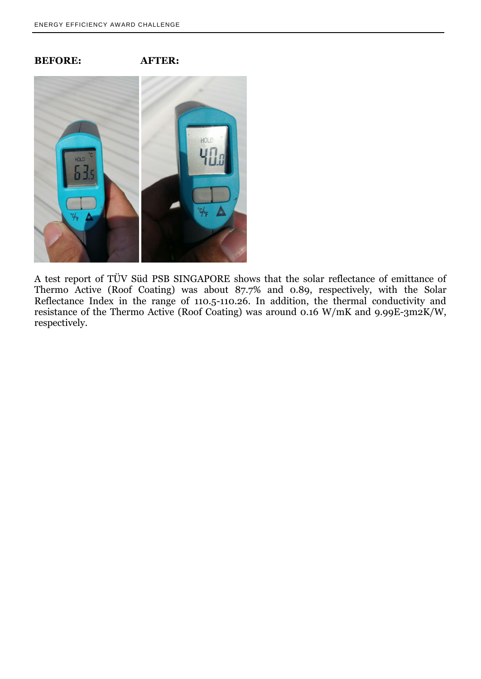#### **BEFORE: AFTER:**



A test report of TÜV Süd PSB SINGAPORE shows that the solar reflectance of emittance of Thermo Active (Roof Coating) was about 87.7% and 0.89, respectively, with the Solar Reflectance Index in the range of 110.5-110.26. In addition, the thermal conductivity and resistance of the Thermo Active (Roof Coating) was around 0.16 W/mK and 9.99E-3m2K/W, respectively.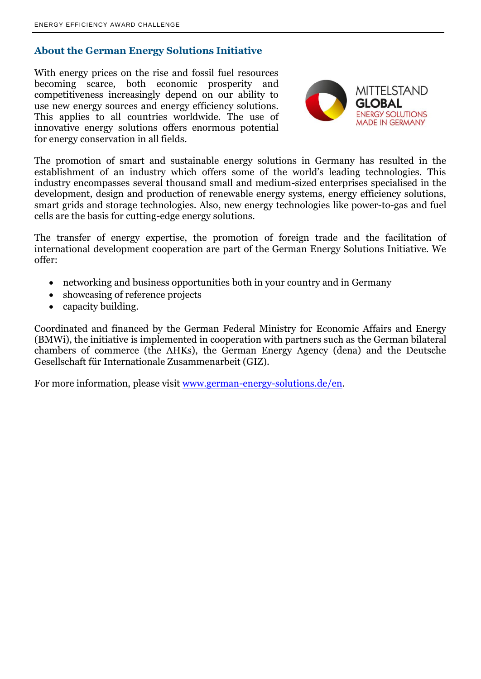### **About the German Energy Solutions Initiative**

With energy prices on the rise and fossil fuel resources becoming scarce, both economic prosperity and competitiveness increasingly depend on our ability to use new energy sources and energy efficiency solutions. This applies to all countries worldwide. The use of innovative energy solutions offers enormous potential for energy conservation in all fields.



The promotion of smart and sustainable energy solutions in Germany has resulted in the establishment of an industry which offers some of the world's leading technologies. This industry encompasses several thousand small and medium-sized enterprises specialised in the development, design and production of renewable energy systems, energy efficiency solutions, smart grids and storage technologies. Also, new energy technologies like power-to-gas and fuel cells are the basis for cutting-edge energy solutions.

The transfer of energy expertise, the promotion of foreign trade and the facilitation of international development cooperation are part of the German Energy Solutions Initiative. We offer:

- networking and business opportunities both in your country and in Germany
- showcasing of reference projects
- capacity building.

Coordinated and financed by the German Federal Ministry for Economic Affairs and Energy (BMWi), the initiative is implemented in cooperation with partners such as the German bilateral chambers of commerce (the AHKs), the German Energy Agency (dena) and the Deutsche Gesellschaft für Internationale Zusammenarbeit (GIZ).

For more information, please visit [www.german-energy-solutions.de/en.](http://www.german-energy-solutions.de/en)